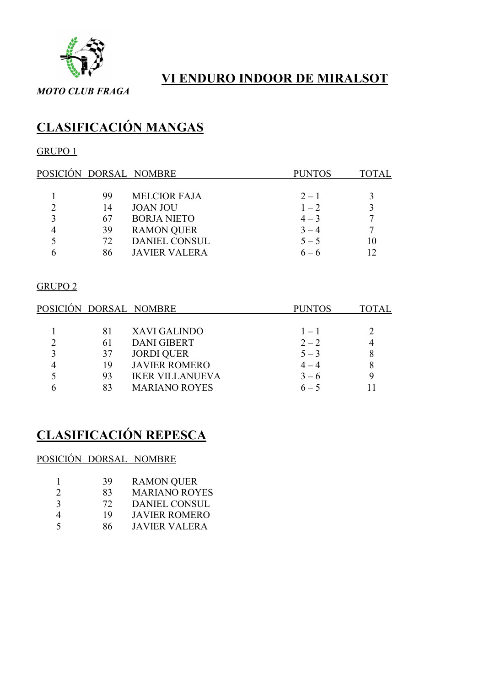

### VI ENDURO INDOOR DE MIRALSOT

MOTO CLUB FRAGA

# CLASIFICACIÓN MANGAS

### GRUPO 1

|    | POSICIÓN DORSAL NOMBRE | <b>PUNTOS</b> | TOTAL |
|----|------------------------|---------------|-------|
|    |                        |               |       |
| 99 | <b>MELCIOR FAJA</b>    | $2 - 1$       |       |
| 14 | <b>JOAN JOU</b>        | $1 - 2$       |       |
| 67 | <b>BORJA NIETO</b>     | $4 - 3$       |       |
| 39 | <b>RAMON QUER</b>      | $3 - 4$       |       |
| 72 | <b>DANIEL CONSUL</b>   | $5 - 5$       | 10    |
| 86 | <b>JAVIER VALERA</b>   | $6 - 6$       | 12    |
|    |                        |               |       |

#### GRUPO 2

|    | POSICIÓN DORSAL NOMBRE | <b>PUNTOS</b> | OTAL. |
|----|------------------------|---------------|-------|
|    |                        |               |       |
| 81 | XAVI GALINDO           | $1 - 1$       |       |
| 61 | <b>DANI GIBERT</b>     | $2 - 2$       |       |
| 37 | <b>JORDI QUER</b>      | $5 - 3$       |       |
| 19 | <b>JAVIER ROMERO</b>   | $4 - 4$       | 8     |
| 93 | <b>IKER VILLANUEVA</b> | $3 - 6$       |       |
| 83 | <b>MARIANO ROYES</b>   | $6 - 5$       |       |

# CLASIFICACIÓN REPESCA

### POSICIÓN DORSAL NOMBRE

|                             | 39 | <b>RAMON QUER</b>    |
|-----------------------------|----|----------------------|
| $\mathcal{D}_{\mathcal{L}}$ | 83 | <b>MARIANO ROYES</b> |
| $\mathcal{R}$               | 72 | <b>DANIEL CONSUL</b> |
|                             | 19 | <b>JAVIER ROMERO</b> |
| $\zeta$                     | 86 | <b>JAVIER VALERA</b> |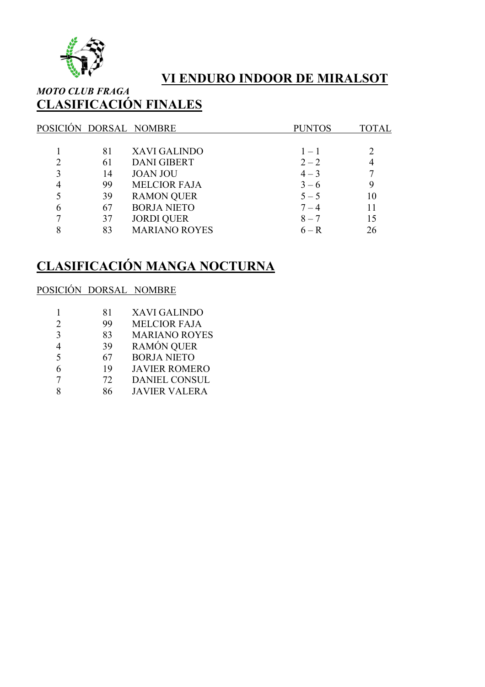

### VI ENDURO INDOOR DE MIRALSOT

### MOTO CLUB FRAGA CLASIFICACIÓN FINALES

|   |    | POSICIÓN DORSAL NOMBRE | <b>PUNTOS</b> | <b>TOTAL</b> |
|---|----|------------------------|---------------|--------------|
|   |    |                        |               |              |
|   | 81 | <b>XAVI GALINDO</b>    | $1 - 1$       |              |
|   | 61 | <b>DANI GIBERT</b>     | $2 - 2$       |              |
| 3 | 14 | <b>JOAN JOU</b>        | $4 - 3$       |              |
|   | 99 | <b>MELCIOR FAJA</b>    | $3 - 6$       | 9            |
|   | 39 | <b>RAMON QUER</b>      | $5 - 5$       | 10           |
| 6 | 67 | <b>BORJA NIETO</b>     | $7 - 4$       | 11           |
| 7 | 37 | <b>JORDI QUER</b>      | $8 - 7$       | 15           |
| 8 | 83 | <b>MARIANO ROYES</b>   | $6 - R$       | 26           |
|   |    |                        |               |              |

# CLASIFICACIÓN MANGA NOCTURNA

#### POSICIÓN DORSAL NOMBRE

| 81 | <b>XAVI GALINDO</b>  |
|----|----------------------|
| 99 | <b>MELCIOR FAJA</b>  |
| 83 | <b>MARIANO ROYES</b> |
| 39 | <b>RAMÓN QUER</b>    |
| 67 | <b>BORJA NIETO</b>   |
| 19 | <b>JAVIER ROMERO</b> |
| 72 | <b>DANIEL CONSUL</b> |
| 86 | <b>JAVIER VALERA</b> |
|    |                      |